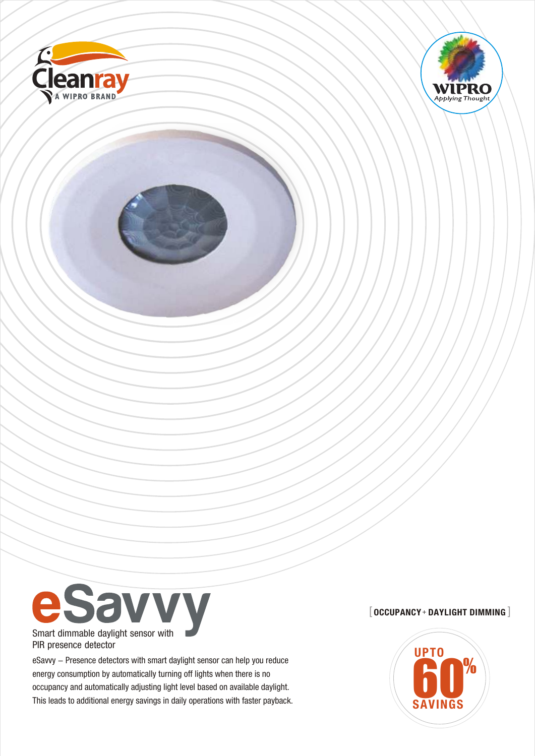





eSavvy - Presence detectors with smart daylight sensor can help you reduce energy consumption by automatically turning off lights when there is no occupancy and automatically adjusting light level based on available daylight. eSavvy – Presence detectors with smart daylight sensor can help you reduce<br>energy consumption by automatically turning off lights when there is no<br>occupancy and automatically adjusting light level based on available daylig

# [ **OCCUPANCY** <sup>+</sup> **DAYLIGHT DIMMING** [